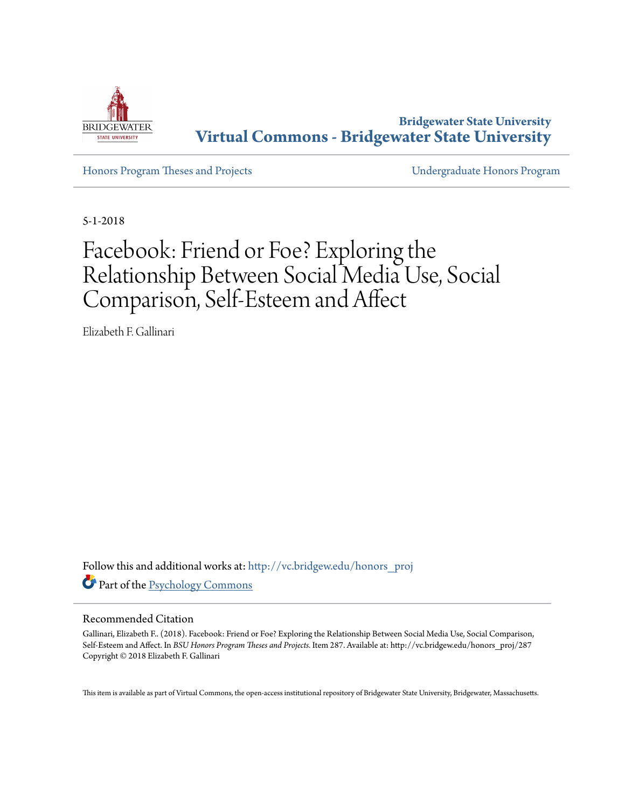

**Bridgewater State University [Virtual Commons - Bridgewater State University](http://vc.bridgew.edu?utm_source=vc.bridgew.edu%2Fhonors_proj%2F287&utm_medium=PDF&utm_campaign=PDFCoverPages)**

[Honors Program Theses and Projects](http://vc.bridgew.edu/honors_proj?utm_source=vc.bridgew.edu%2Fhonors_proj%2F287&utm_medium=PDF&utm_campaign=PDFCoverPages) [Undergraduate Honors Program](http://vc.bridgew.edu/honors?utm_source=vc.bridgew.edu%2Fhonors_proj%2F287&utm_medium=PDF&utm_campaign=PDFCoverPages)

5-1-2018

# Facebook: Friend or Foe? Exploring the Relationship Between Social Media Use, Social Comparison, Self-Esteem and Affect

Elizabeth F. Gallinari

Follow this and additional works at: [http://vc.bridgew.edu/honors\\_proj](http://vc.bridgew.edu/honors_proj?utm_source=vc.bridgew.edu%2Fhonors_proj%2F287&utm_medium=PDF&utm_campaign=PDFCoverPages) Part of the [Psychology Commons](http://network.bepress.com/hgg/discipline/404?utm_source=vc.bridgew.edu%2Fhonors_proj%2F287&utm_medium=PDF&utm_campaign=PDFCoverPages)

#### Recommended Citation

Gallinari, Elizabeth F.. (2018). Facebook: Friend or Foe? Exploring the Relationship Between Social Media Use, Social Comparison, Self-Esteem and Affect. In *BSU Honors Program Theses and Projects.* Item 287. Available at: http://vc.bridgew.edu/honors\_proj/287 Copyright © 2018 Elizabeth F. Gallinari

This item is available as part of Virtual Commons, the open-access institutional repository of Bridgewater State University, Bridgewater, Massachusetts.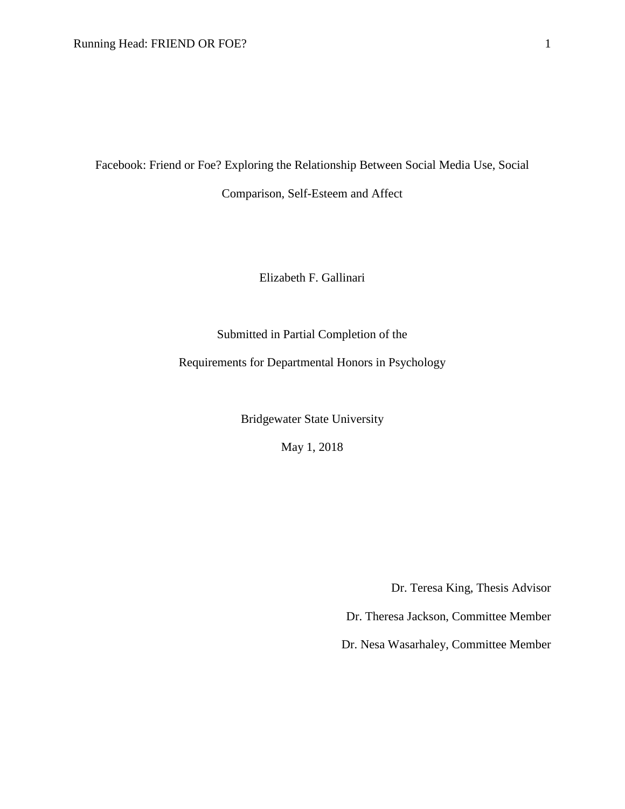Facebook: Friend or Foe? Exploring the Relationship Between Social Media Use, Social

Comparison, Self-Esteem and Affect

Elizabeth F. Gallinari

Submitted in Partial Completion of the

Requirements for Departmental Honors in Psychology

Bridgewater State University

May 1, 2018

Dr. Teresa King, Thesis Advisor

Dr. Theresa Jackson, Committee Member

Dr. Nesa Wasarhaley, Committee Member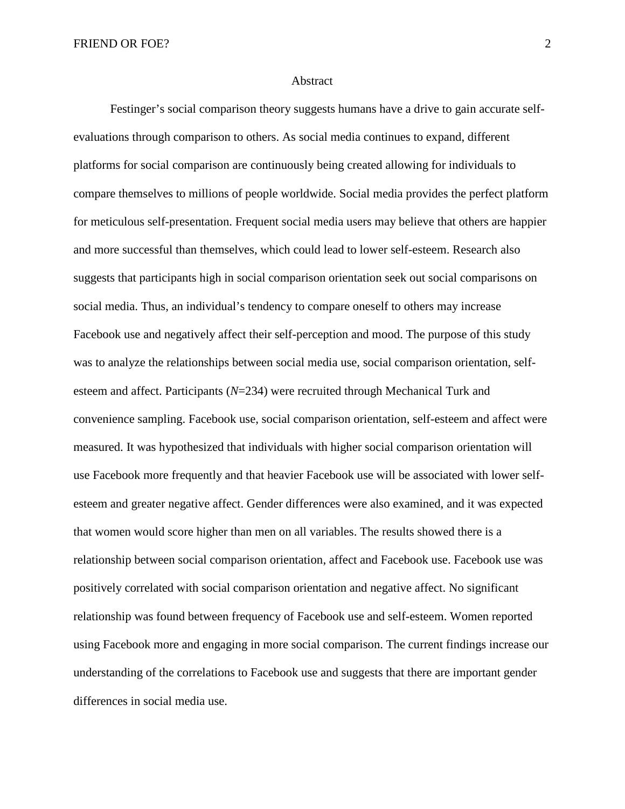#### Abstract

Festinger's social comparison theory suggests humans have a drive to gain accurate selfevaluations through comparison to others. As social media continues to expand, different platforms for social comparison are continuously being created allowing for individuals to compare themselves to millions of people worldwide. Social media provides the perfect platform for meticulous self-presentation. Frequent social media users may believe that others are happier and more successful than themselves, which could lead to lower self-esteem. Research also suggests that participants high in social comparison orientation seek out social comparisons on social media. Thus, an individual's tendency to compare oneself to others may increase Facebook use and negatively affect their self-perception and mood. The purpose of this study was to analyze the relationships between social media use, social comparison orientation, selfesteem and affect. Participants (*N*=234) were recruited through Mechanical Turk and convenience sampling. Facebook use, social comparison orientation, self-esteem and affect were measured. It was hypothesized that individuals with higher social comparison orientation will use Facebook more frequently and that heavier Facebook use will be associated with lower selfesteem and greater negative affect. Gender differences were also examined, and it was expected that women would score higher than men on all variables. The results showed there is a relationship between social comparison orientation, affect and Facebook use. Facebook use was positively correlated with social comparison orientation and negative affect. No significant relationship was found between frequency of Facebook use and self-esteem. Women reported using Facebook more and engaging in more social comparison. The current findings increase our understanding of the correlations to Facebook use and suggests that there are important gender differences in social media use.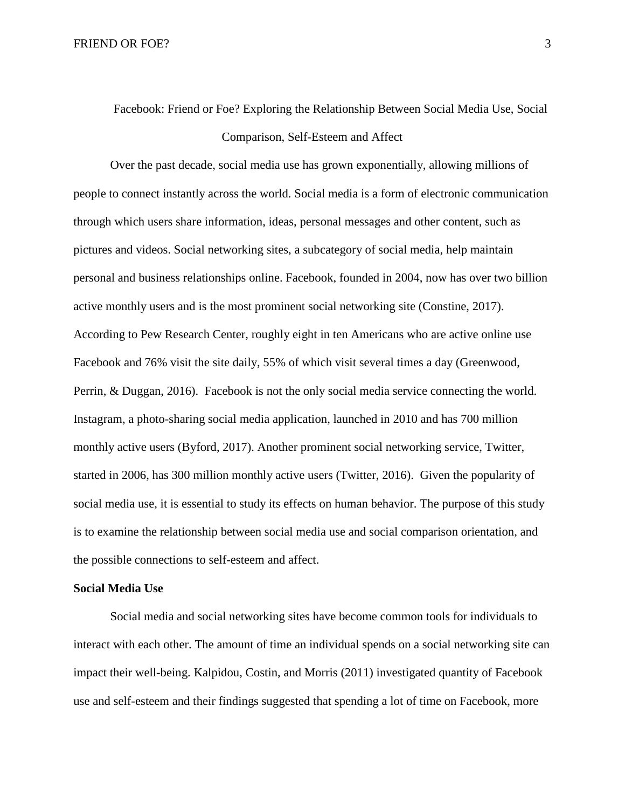## Facebook: Friend or Foe? Exploring the Relationship Between Social Media Use, Social Comparison, Self-Esteem and Affect

Over the past decade, social media use has grown exponentially, allowing millions of people to connect instantly across the world. Social media is a form of electronic communication through which users share information, ideas, personal messages and other content, such as pictures and videos. Social networking sites, a subcategory of social media, help maintain personal and business relationships online. Facebook, founded in 2004, now has over two billion active monthly users and is the most prominent social networking site (Constine, 2017). According to Pew Research Center, roughly eight in ten Americans who are active online use Facebook and 76% visit the site daily, 55% of which visit several times a day (Greenwood, Perrin, & Duggan, 2016). Facebook is not the only social media service connecting the world. Instagram, a photo-sharing social media application, launched in 2010 and has 700 million monthly active users (Byford, 2017). Another prominent social networking service, Twitter, started in 2006, has 300 million monthly active users (Twitter, 2016). Given the popularity of social media use, it is essential to study its effects on human behavior. The purpose of this study is to examine the relationship between social media use and social comparison orientation, and the possible connections to self-esteem and affect.

#### **Social Media Use**

Social media and social networking sites have become common tools for individuals to interact with each other. The amount of time an individual spends on a social networking site can impact their well-being. Kalpidou, Costin, and Morris (2011) investigated quantity of Facebook use and self-esteem and their findings suggested that spending a lot of time on Facebook, more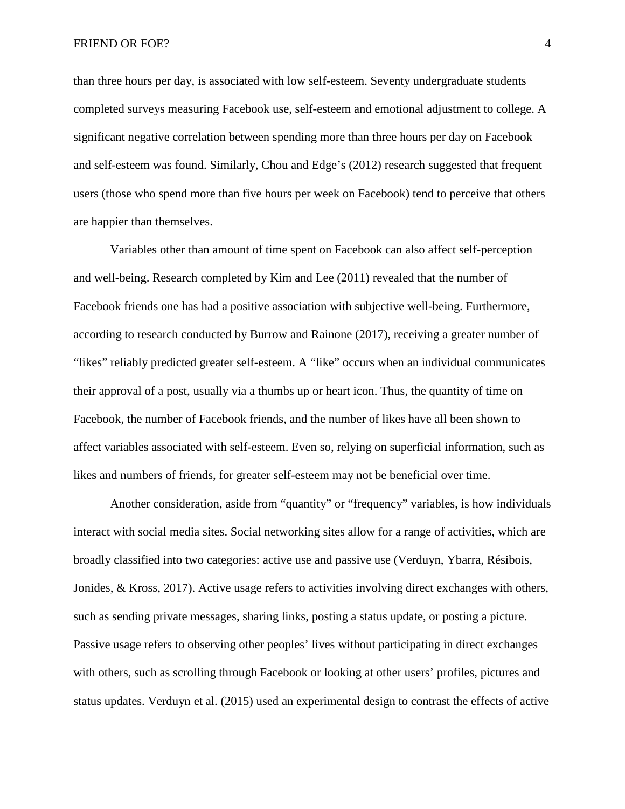than three hours per day, is associated with low self-esteem. Seventy undergraduate students completed surveys measuring Facebook use, self-esteem and emotional adjustment to college. A significant negative correlation between spending more than three hours per day on Facebook and self-esteem was found. Similarly, Chou and Edge's (2012) research suggested that frequent users (those who spend more than five hours per week on Facebook) tend to perceive that others are happier than themselves.

Variables other than amount of time spent on Facebook can also affect self-perception and well-being. Research completed by Kim and Lee (2011) revealed that the number of Facebook friends one has had a positive association with subjective well-being. Furthermore, according to research conducted by Burrow and Rainone (2017), receiving a greater number of "likes" reliably predicted greater self-esteem. A "like" occurs when an individual communicates their approval of a post, usually via a thumbs up or heart icon. Thus, the quantity of time on Facebook, the number of Facebook friends, and the number of likes have all been shown to affect variables associated with self-esteem. Even so, relying on superficial information, such as likes and numbers of friends, for greater self-esteem may not be beneficial over time.

Another consideration, aside from "quantity" or "frequency" variables, is how individuals interact with social media sites. Social networking sites allow for a range of activities, which are broadly classified into two categories: active use and passive use (Verduyn, Ybarra, Résibois, Jonides, & Kross, 2017). Active usage refers to activities involving direct exchanges with others, such as sending private messages, sharing links, posting a status update, or posting a picture. Passive usage refers to observing other peoples' lives without participating in direct exchanges with others, such as scrolling through Facebook or looking at other users' profiles, pictures and status updates. Verduyn et al. (2015) used an experimental design to contrast the effects of active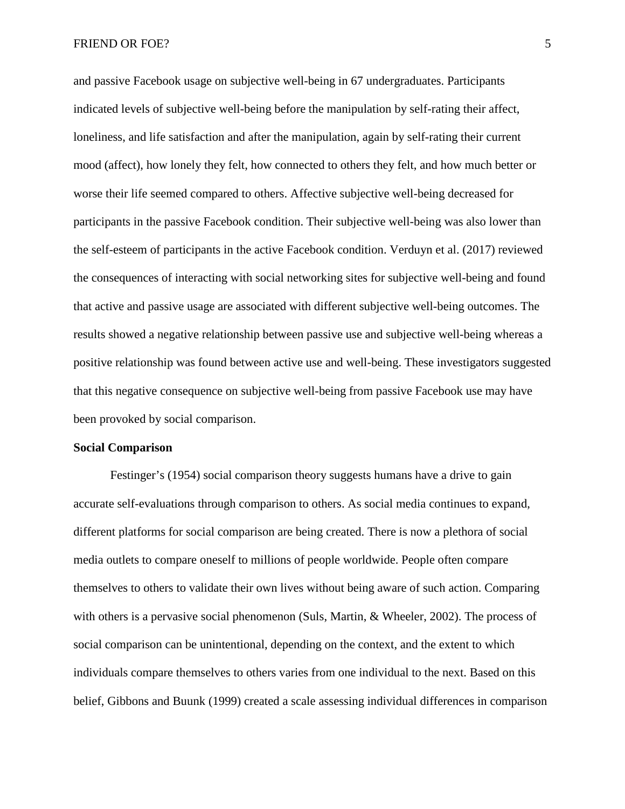#### FRIEND OR FOE? 5

and passive Facebook usage on subjective well-being in 67 undergraduates. Participants indicated levels of subjective well-being before the manipulation by self-rating their affect, loneliness, and life satisfaction and after the manipulation, again by self-rating their current mood (affect), how lonely they felt, how connected to others they felt, and how much better or worse their life seemed compared to others. Affective subjective well-being decreased for participants in the passive Facebook condition. Their subjective well-being was also lower than the self-esteem of participants in the active Facebook condition. Verduyn et al. (2017) reviewed the consequences of interacting with social networking sites for subjective well-being and found that active and passive usage are associated with different subjective well-being outcomes. The results showed a negative relationship between passive use and subjective well-being whereas a positive relationship was found between active use and well-being. These investigators suggested that this negative consequence on subjective well-being from passive Facebook use may have been provoked by social comparison.

#### **Social Comparison**

Festinger's (1954) social comparison theory suggests humans have a drive to gain accurate self-evaluations through comparison to others. As social media continues to expand, different platforms for social comparison are being created. There is now a plethora of social media outlets to compare oneself to millions of people worldwide. People often compare themselves to others to validate their own lives without being aware of such action. Comparing with others is a pervasive social phenomenon (Suls, Martin, & Wheeler, 2002). The process of social comparison can be unintentional, depending on the context, and the extent to which individuals compare themselves to others varies from one individual to the next. Based on this belief, Gibbons and Buunk (1999) created a scale assessing individual differences in comparison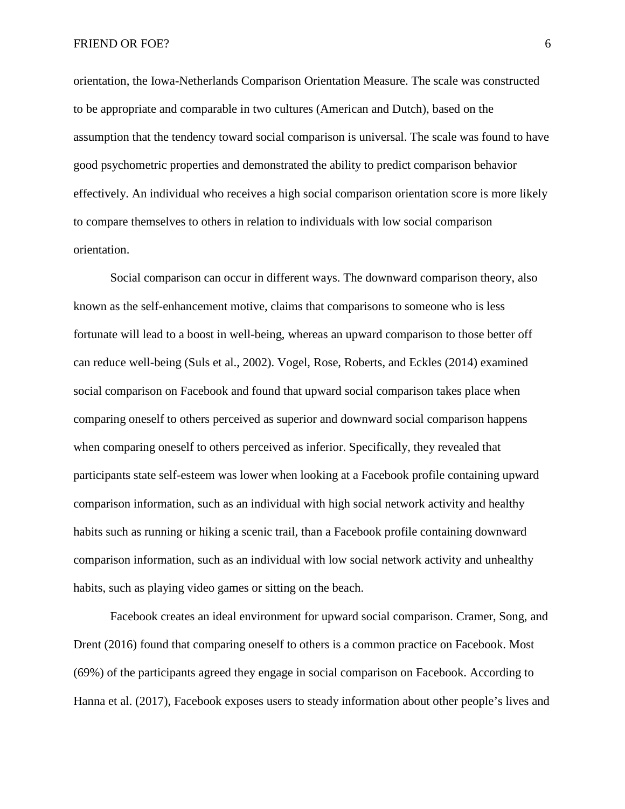orientation, the Iowa-Netherlands Comparison Orientation Measure. The scale was constructed to be appropriate and comparable in two cultures (American and Dutch), based on the assumption that the tendency toward social comparison is universal. The scale was found to have good psychometric properties and demonstrated the ability to predict comparison behavior effectively. An individual who receives a high social comparison orientation score is more likely to compare themselves to others in relation to individuals with low social comparison orientation.

Social comparison can occur in different ways. The downward comparison theory, also known as the self-enhancement motive, claims that comparisons to someone who is less fortunate will lead to a boost in well-being, whereas an upward comparison to those better off can reduce well-being (Suls et al., 2002). Vogel, Rose, Roberts, and Eckles (2014) examined social comparison on Facebook and found that upward social comparison takes place when comparing oneself to others perceived as superior and downward social comparison happens when comparing oneself to others perceived as inferior. Specifically, they revealed that participants state self-esteem was lower when looking at a Facebook profile containing upward comparison information, such as an individual with high social network activity and healthy habits such as running or hiking a scenic trail, than a Facebook profile containing downward comparison information, such as an individual with low social network activity and unhealthy habits, such as playing video games or sitting on the beach.

Facebook creates an ideal environment for upward social comparison. Cramer, Song, and Drent (2016) found that comparing oneself to others is a common practice on Facebook. Most (69%) of the participants agreed they engage in social comparison on Facebook. According to Hanna et al. (2017), Facebook exposes users to steady information about other people's lives and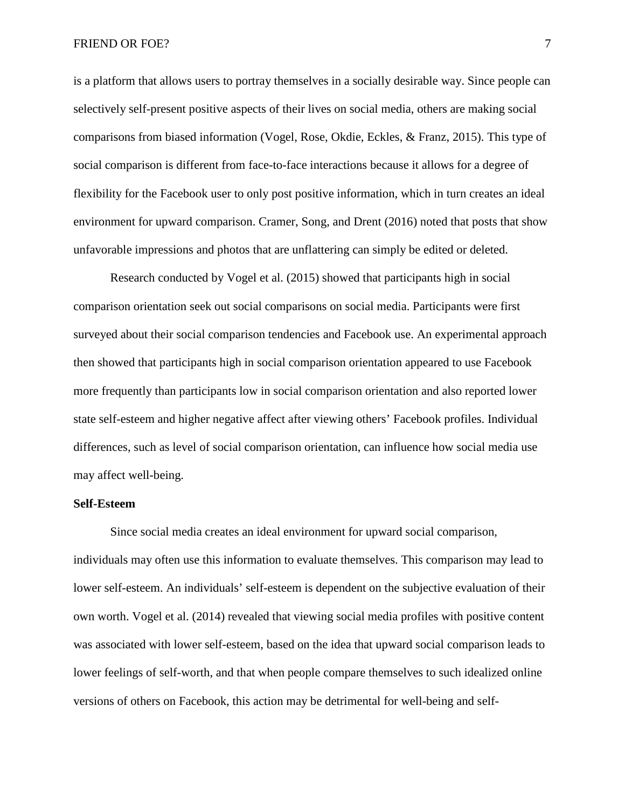is a platform that allows users to portray themselves in a socially desirable way. Since people can selectively self-present positive aspects of their lives on social media, others are making social comparisons from biased information (Vogel, Rose, Okdie, Eckles, & Franz, 2015). This type of social comparison is different from face-to-face interactions because it allows for a degree of flexibility for the Facebook user to only post positive information, which in turn creates an ideal environment for upward comparison. Cramer, Song, and Drent (2016) noted that posts that show unfavorable impressions and photos that are unflattering can simply be edited or deleted.

Research conducted by Vogel et al. (2015) showed that participants high in social comparison orientation seek out social comparisons on social media. Participants were first surveyed about their social comparison tendencies and Facebook use. An experimental approach then showed that participants high in social comparison orientation appeared to use Facebook more frequently than participants low in social comparison orientation and also reported lower state self-esteem and higher negative affect after viewing others' Facebook profiles. Individual differences, such as level of social comparison orientation, can influence how social media use may affect well-being.

#### **Self-Esteem**

Since social media creates an ideal environment for upward social comparison, individuals may often use this information to evaluate themselves. This comparison may lead to lower self-esteem. An individuals' self-esteem is dependent on the subjective evaluation of their own worth. Vogel et al. (2014) revealed that viewing social media profiles with positive content was associated with lower self-esteem, based on the idea that upward social comparison leads to lower feelings of self-worth, and that when people compare themselves to such idealized online versions of others on Facebook, this action may be detrimental for well-being and self-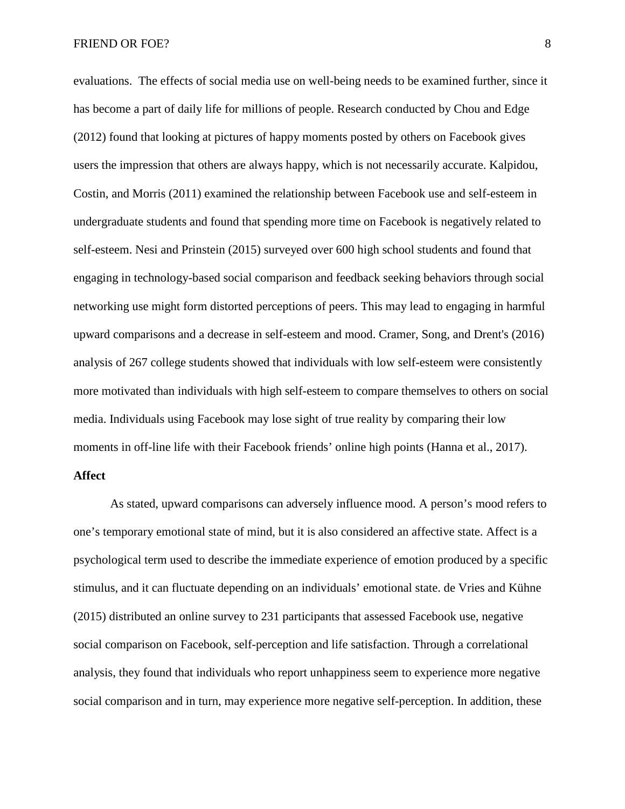#### FRIEND OR FOE? 8

evaluations. The effects of social media use on well-being needs to be examined further, since it has become a part of daily life for millions of people. Research conducted by Chou and Edge (2012) found that looking at pictures of happy moments posted by others on Facebook gives users the impression that others are always happy, which is not necessarily accurate. Kalpidou, Costin, and Morris (2011) examined the relationship between Facebook use and self-esteem in undergraduate students and found that spending more time on Facebook is negatively related to self-esteem. Nesi and Prinstein (2015) surveyed over 600 high school students and found that engaging in technology-based social comparison and feedback seeking behaviors through social networking use might form distorted perceptions of peers. This may lead to engaging in harmful upward comparisons and a decrease in self-esteem and mood. Cramer, Song, and Drent's (2016) analysis of 267 college students showed that individuals with low self-esteem were consistently more motivated than individuals with high self-esteem to compare themselves to others on social media. Individuals using Facebook may lose sight of true reality by comparing their low moments in off-line life with their Facebook friends' online high points (Hanna et al., 2017).

#### **Affect**

As stated, upward comparisons can adversely influence mood. A person's mood refers to one's temporary emotional state of mind, but it is also considered an affective state. Affect is a psychological term used to describe the immediate experience of emotion produced by a specific stimulus, and it can fluctuate depending on an individuals' emotional state. de Vries and Kühne (2015) distributed an online survey to 231 participants that assessed Facebook use, negative social comparison on Facebook, self-perception and life satisfaction. Through a correlational analysis, they found that individuals who report unhappiness seem to experience more negative social comparison and in turn, may experience more negative self-perception. In addition, these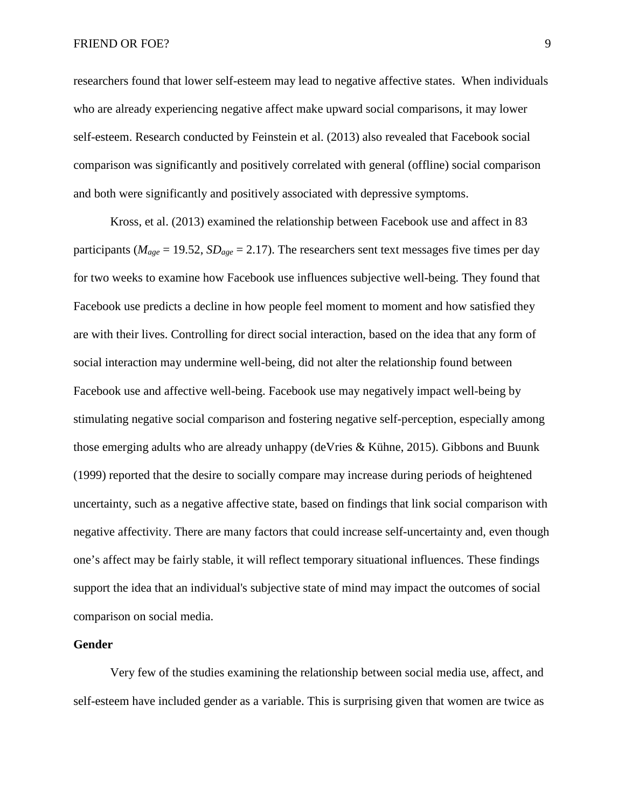#### FRIEND OR FOE? 9

researchers found that lower self-esteem may lead to negative affective states. When individuals who are already experiencing negative affect make upward social comparisons, it may lower self-esteem. Research conducted by Feinstein et al. (2013) also revealed that Facebook social comparison was significantly and positively correlated with general (offline) social comparison and both were significantly and positively associated with depressive symptoms.

Kross, et al. (2013) examined the relationship between Facebook use and affect in 83 participants ( $M_{age} = 19.52$ ,  $SD_{age} = 2.17$ ). The researchers sent text messages five times per day for two weeks to examine how Facebook use influences subjective well-being. They found that Facebook use predicts a decline in how people feel moment to moment and how satisfied they are with their lives. Controlling for direct social interaction, based on the idea that any form of social interaction may undermine well-being, did not alter the relationship found between Facebook use and affective well-being. Facebook use may negatively impact well-being by stimulating negative social comparison and fostering negative self-perception, especially among those emerging adults who are already unhappy (deVries & Kühne, 2015). Gibbons and Buunk (1999) reported that the desire to socially compare may increase during periods of heightened uncertainty, such as a negative affective state, based on findings that link social comparison with negative affectivity. There are many factors that could increase self-uncertainty and, even though one's affect may be fairly stable, it will reflect temporary situational influences. These findings support the idea that an individual's subjective state of mind may impact the outcomes of social comparison on social media.

#### **Gender**

Very few of the studies examining the relationship between social media use, affect, and self-esteem have included gender as a variable. This is surprising given that women are twice as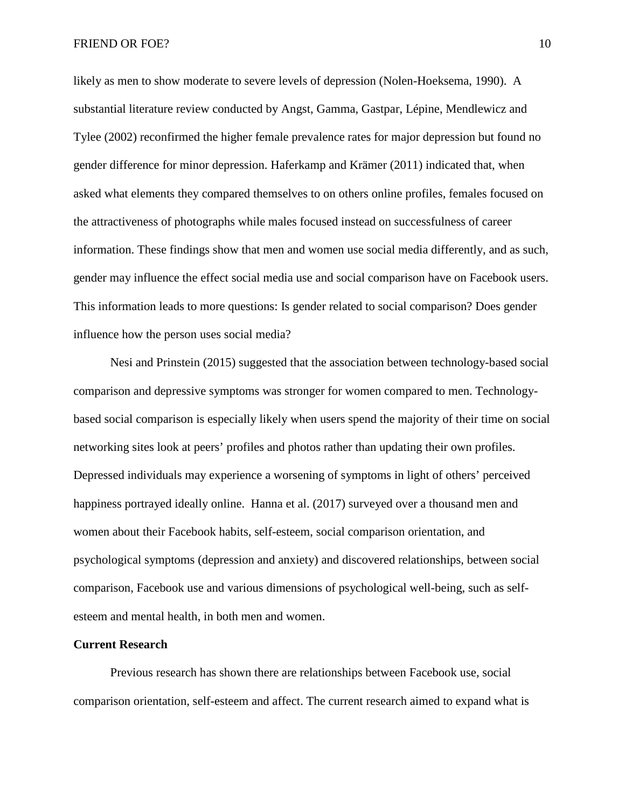likely as men to show moderate to severe levels of depression (Nolen-Hoeksema, 1990). A substantial literature review conducted by Angst, Gamma, Gastpar, Lépine, Mendlewicz and Tylee (2002) reconfirmed the higher female prevalence rates for major depression but found no gender difference for minor depression. Haferkamp and Krämer (2011) indicated that, when asked what elements they compared themselves to on others online profiles, females focused on the attractiveness of photographs while males focused instead on successfulness of career information. These findings show that men and women use social media differently, and as such, gender may influence the effect social media use and social comparison have on Facebook users. This information leads to more questions: Is gender related to social comparison? Does gender influence how the person uses social media?

Nesi and Prinstein (2015) suggested that the association between technology-based social comparison and depressive symptoms was stronger for women compared to men. Technologybased social comparison is especially likely when users spend the majority of their time on social networking sites look at peers' profiles and photos rather than updating their own profiles. Depressed individuals may experience a worsening of symptoms in light of others' perceived happiness portrayed ideally online. Hanna et al. (2017) surveyed over a thousand men and women about their Facebook habits, self-esteem, social comparison orientation, and psychological symptoms (depression and anxiety) and discovered relationships, between social comparison, Facebook use and various dimensions of psychological well-being, such as selfesteem and mental health, in both men and women.

#### **Current Research**

Previous research has shown there are relationships between Facebook use, social comparison orientation, self-esteem and affect. The current research aimed to expand what is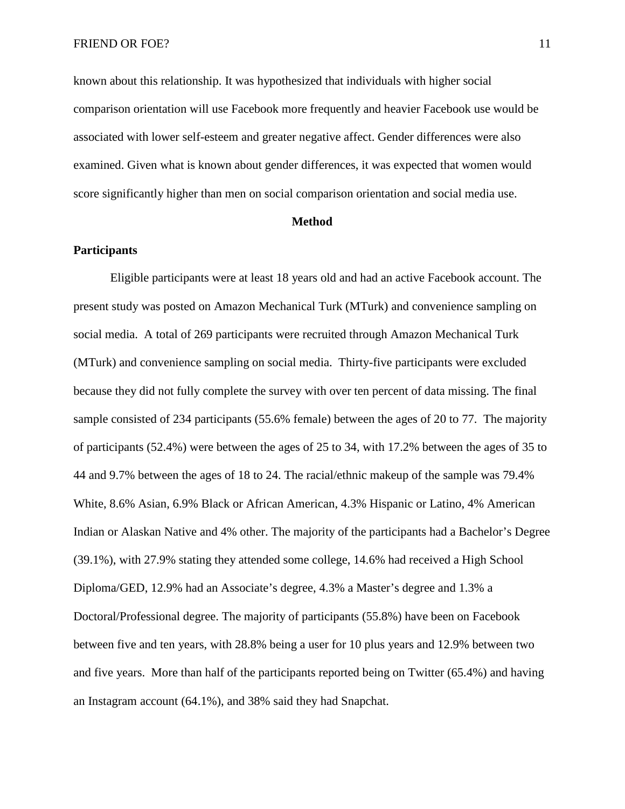known about this relationship. It was hypothesized that individuals with higher social comparison orientation will use Facebook more frequently and heavier Facebook use would be associated with lower self-esteem and greater negative affect. Gender differences were also examined. Given what is known about gender differences, it was expected that women would score significantly higher than men on social comparison orientation and social media use.

#### **Method**

#### **Participants**

Eligible participants were at least 18 years old and had an active Facebook account. The present study was posted on Amazon Mechanical Turk (MTurk) and convenience sampling on social media. A total of 269 participants were recruited through Amazon Mechanical Turk (MTurk) and convenience sampling on social media. Thirty-five participants were excluded because they did not fully complete the survey with over ten percent of data missing. The final sample consisted of 234 participants (55.6% female) between the ages of 20 to 77. The majority of participants (52.4%) were between the ages of 25 to 34, with 17.2% between the ages of 35 to 44 and 9.7% between the ages of 18 to 24. The racial/ethnic makeup of the sample was 79.4% White, 8.6% Asian, 6.9% Black or African American, 4.3% Hispanic or Latino, 4% American Indian or Alaskan Native and 4% other. The majority of the participants had a Bachelor's Degree (39.1%), with 27.9% stating they attended some college, 14.6% had received a High School Diploma/GED, 12.9% had an Associate's degree, 4.3% a Master's degree and 1.3% a Doctoral/Professional degree. The majority of participants (55.8%) have been on Facebook between five and ten years, with 28.8% being a user for 10 plus years and 12.9% between two and five years. More than half of the participants reported being on Twitter (65.4%) and having an Instagram account (64.1%), and 38% said they had Snapchat.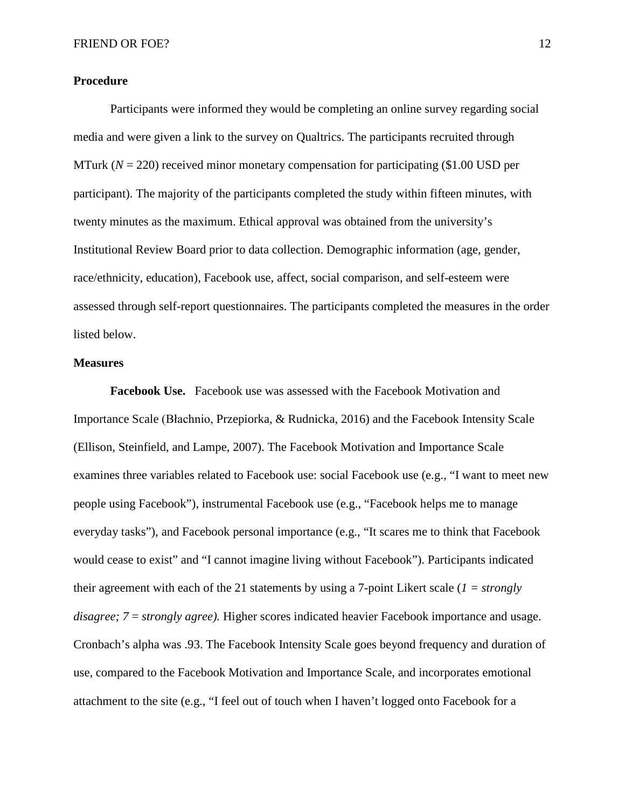#### **Procedure**

Participants were informed they would be completing an online survey regarding social media and were given a link to the survey on Qualtrics. The participants recruited through MTurk  $(N = 220)$  received minor monetary compensation for participating (\$1.00 USD per participant). The majority of the participants completed the study within fifteen minutes, with twenty minutes as the maximum. Ethical approval was obtained from the university's Institutional Review Board prior to data collection. Demographic information (age, gender, race/ethnicity, education), Facebook use, affect, social comparison, and self-esteem were assessed through self-report questionnaires. The participants completed the measures in the order listed below.

#### **Measures**

**Facebook Use.** Facebook use was assessed with the Facebook Motivation and Importance Scale (Błachnio, Przepiorka, & Rudnicka, 2016) and the Facebook Intensity Scale (Ellison, Steinfield, and Lampe, 2007). The Facebook Motivation and Importance Scale examines three variables related to Facebook use: social Facebook use (e.g., "I want to meet new people using Facebook"), instrumental Facebook use (e.g., "Facebook helps me to manage everyday tasks"), and Facebook personal importance (e.g., "It scares me to think that Facebook would cease to exist" and "I cannot imagine living without Facebook"). Participants indicated their agreement with each of the 21 statements by using a 7-point Likert scale (*1 = strongly disagree; 7* = *strongly agree).* Higher scores indicated heavier Facebook importance and usage. Cronbach's alpha was .93. The Facebook Intensity Scale goes beyond frequency and duration of use, compared to the Facebook Motivation and Importance Scale, and incorporates emotional attachment to the site (e.g., "I feel out of touch when I haven't logged onto Facebook for a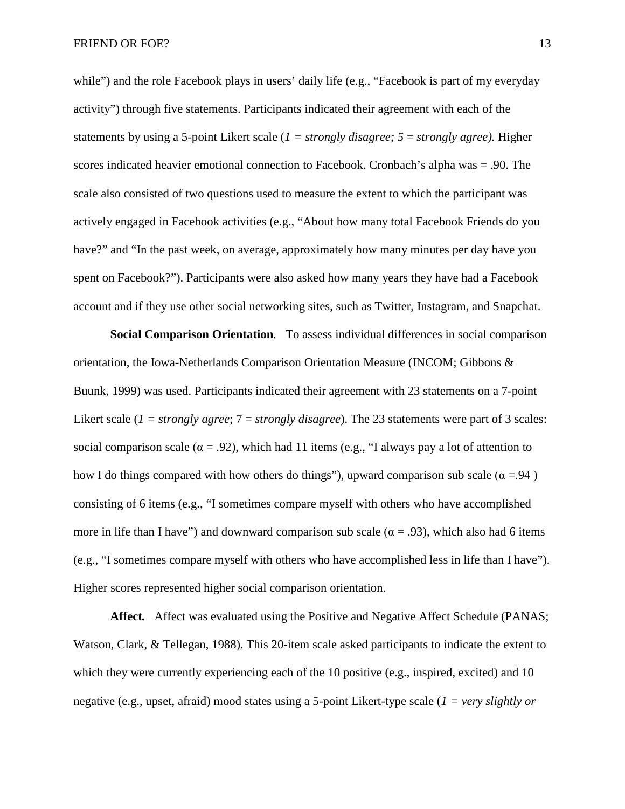while") and the role Facebook plays in users' daily life (e.g., "Facebook is part of my everyday activity") through five statements. Participants indicated their agreement with each of the statements by using a 5-point Likert scale (*1 = strongly disagree; 5* = *strongly agree).* Higher scores indicated heavier emotional connection to Facebook. Cronbach's alpha was = .90. The scale also consisted of two questions used to measure the extent to which the participant was actively engaged in Facebook activities (e.g., "About how many total Facebook Friends do you have?" and "In the past week, on average, approximately how many minutes per day have you spent on Facebook?"). Participants were also asked how many years they have had a Facebook account and if they use other social networking sites, such as Twitter, Instagram, and Snapchat.

**Social Comparison Orientation***.* To assess individual differences in social comparison orientation, the Iowa-Netherlands Comparison Orientation Measure (INCOM; Gibbons & Buunk, 1999) was used. Participants indicated their agreement with 23 statements on a 7-point Likert scale ( $1 =$  *strongly agree*;  $7 =$  *strongly disagree*). The 23 statements were part of 3 scales: social comparison scale ( $\alpha$  = .92), which had 11 items (e.g., "I always pay a lot of attention to how I do things compared with how others do things"), upward comparison sub scale ( $\alpha = .94$ ) consisting of 6 items (e.g., "I sometimes compare myself with others who have accomplished more in life than I have") and downward comparison sub scale ( $\alpha = .93$ ), which also had 6 items (e.g., "I sometimes compare myself with others who have accomplished less in life than I have"). Higher scores represented higher social comparison orientation.

**Affect***.* Affect was evaluated using the Positive and Negative Affect Schedule (PANAS; Watson, Clark, & Tellegan, 1988). This 20-item scale asked participants to indicate the extent to which they were currently experiencing each of the 10 positive (e.g., inspired, excited) and 10 negative (e.g., upset, afraid) mood states using a 5-point Likert-type scale (*1 = very slightly or*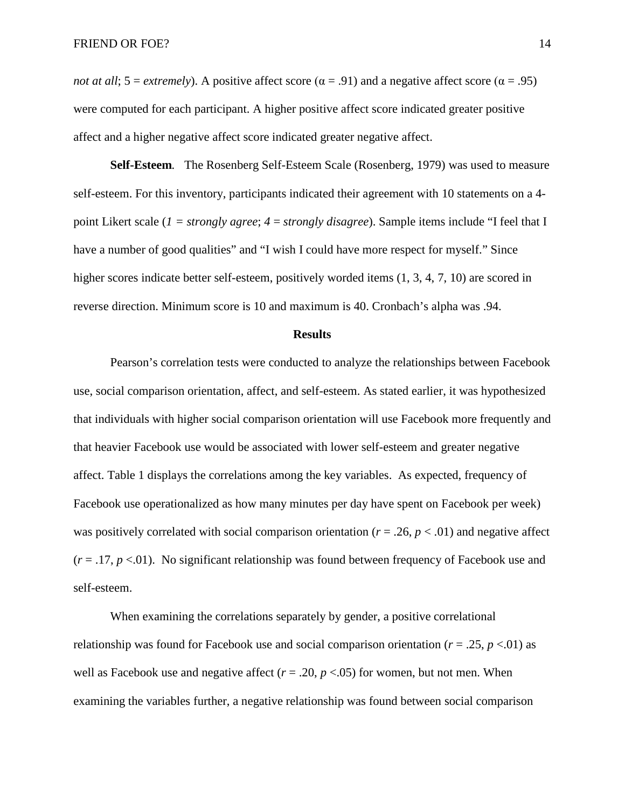*not at all*; 5 = *extremely*). A positive affect score ( $\alpha$  = .91) and a negative affect score ( $\alpha$  = .95) were computed for each participant. A higher positive affect score indicated greater positive affect and a higher negative affect score indicated greater negative affect.

**Self-Esteem***.* The Rosenberg Self-Esteem Scale (Rosenberg, 1979) was used to measure self-esteem. For this inventory, participants indicated their agreement with 10 statements on a 4 point Likert scale (*1 = strongly agree*; *4* = *strongly disagree*). Sample items include "I feel that I have a number of good qualities" and "I wish I could have more respect for myself." Since higher scores indicate better self-esteem, positively worded items  $(1, 3, 4, 7, 10)$  are scored in reverse direction. Minimum score is 10 and maximum is 40. Cronbach's alpha was .94.

#### **Results**

Pearson's correlation tests were conducted to analyze the relationships between Facebook use, social comparison orientation, affect, and self-esteem. As stated earlier, it was hypothesized that individuals with higher social comparison orientation will use Facebook more frequently and that heavier Facebook use would be associated with lower self-esteem and greater negative affect. Table 1 displays the correlations among the key variables. As expected, frequency of Facebook use operationalized as how many minutes per day have spent on Facebook per week) was positively correlated with social comparison orientation ( $r = .26$ ,  $p < .01$ ) and negative affect  $(r = .17, p < .01)$ . No significant relationship was found between frequency of Facebook use and self-esteem.

When examining the correlations separately by gender, a positive correlational relationship was found for Facebook use and social comparison orientation ( $r = .25$ ,  $p < .01$ ) as well as Facebook use and negative affect  $(r = .20, p < .05)$  for women, but not men. When examining the variables further, a negative relationship was found between social comparison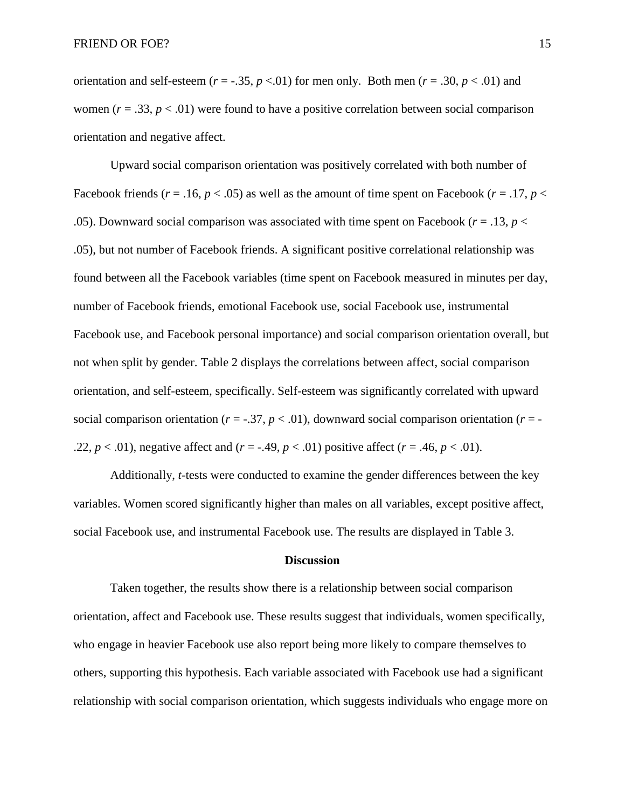orientation and self-esteem  $(r = -.35, p < .01)$  for men only. Both men  $(r = .30, p < .01)$  and women  $(r = .33, p < .01)$  were found to have a positive correlation between social comparison orientation and negative affect.

Upward social comparison orientation was positively correlated with both number of Facebook friends ( $r = .16$ ,  $p < .05$ ) as well as the amount of time spent on Facebook ( $r = .17$ ,  $p <$ .05). Downward social comparison was associated with time spent on Facebook ( $r = .13$ ,  $p <$ .05), but not number of Facebook friends. A significant positive correlational relationship was found between all the Facebook variables (time spent on Facebook measured in minutes per day, number of Facebook friends, emotional Facebook use, social Facebook use, instrumental Facebook use, and Facebook personal importance) and social comparison orientation overall, but not when split by gender. Table 2 displays the correlations between affect, social comparison orientation, and self-esteem, specifically. Self-esteem was significantly correlated with upward social comparison orientation ( $r = -0.37$ ,  $p < 0.01$ ), downward social comparison orientation ( $r = -1$ .22,  $p < .01$ ), negative affect and  $(r = .49, p < .01)$  positive affect  $(r = .46, p < .01)$ .

Additionally, *t*-tests were conducted to examine the gender differences between the key variables. Women scored significantly higher than males on all variables, except positive affect, social Facebook use, and instrumental Facebook use. The results are displayed in Table 3.

#### **Discussion**

Taken together, the results show there is a relationship between social comparison orientation, affect and Facebook use. These results suggest that individuals, women specifically, who engage in heavier Facebook use also report being more likely to compare themselves to others, supporting this hypothesis. Each variable associated with Facebook use had a significant relationship with social comparison orientation, which suggests individuals who engage more on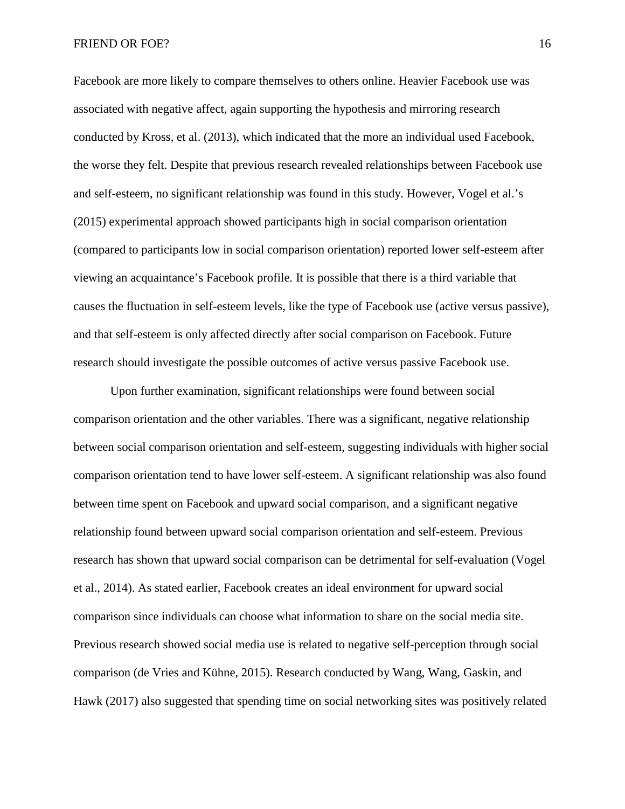Facebook are more likely to compare themselves to others online. Heavier Facebook use was associated with negative affect, again supporting the hypothesis and mirroring research conducted by Kross, et al. (2013), which indicated that the more an individual used Facebook, the worse they felt. Despite that previous research revealed relationships between Facebook use and self-esteem, no significant relationship was found in this study. However, Vogel et al.'s (2015) experimental approach showed participants high in social comparison orientation (compared to participants low in social comparison orientation) reported lower self-esteem after viewing an acquaintance's Facebook profile. It is possible that there is a third variable that causes the fluctuation in self-esteem levels, like the type of Facebook use (active versus passive), and that self-esteem is only affected directly after social comparison on Facebook. Future research should investigate the possible outcomes of active versus passive Facebook use.

Upon further examination, significant relationships were found between social comparison orientation and the other variables. There was a significant, negative relationship between social comparison orientation and self-esteem, suggesting individuals with higher social comparison orientation tend to have lower self-esteem. A significant relationship was also found between time spent on Facebook and upward social comparison, and a significant negative relationship found between upward social comparison orientation and self-esteem. Previous research has shown that upward social comparison can be detrimental for self-evaluation (Vogel et al., 2014). As stated earlier, Facebook creates an ideal environment for upward social comparison since individuals can choose what information to share on the social media site. Previous research showed social media use is related to negative self-perception through social comparison (de Vries and Kühne, 2015). Research conducted by Wang, Wang, Gaskin, and Hawk (2017) also suggested that spending time on social networking sites was positively related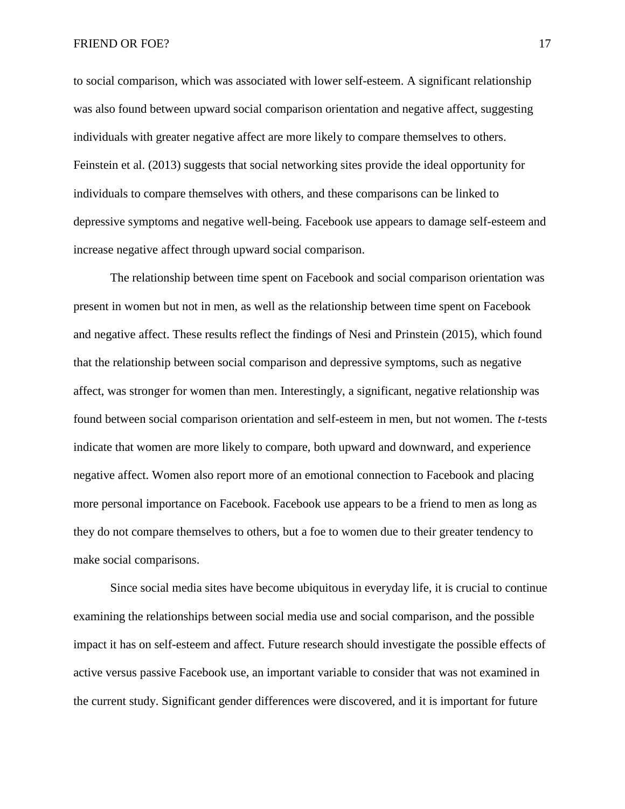to social comparison, which was associated with lower self-esteem. A significant relationship was also found between upward social comparison orientation and negative affect, suggesting individuals with greater negative affect are more likely to compare themselves to others. Feinstein et al. (2013) suggests that social networking sites provide the ideal opportunity for individuals to compare themselves with others, and these comparisons can be linked to depressive symptoms and negative well-being. Facebook use appears to damage self-esteem and increase negative affect through upward social comparison.

The relationship between time spent on Facebook and social comparison orientation was present in women but not in men, as well as the relationship between time spent on Facebook and negative affect. These results reflect the findings of Nesi and Prinstein (2015), which found that the relationship between social comparison and depressive symptoms, such as negative affect, was stronger for women than men. Interestingly, a significant, negative relationship was found between social comparison orientation and self-esteem in men, but not women. The *t*-tests indicate that women are more likely to compare, both upward and downward, and experience negative affect. Women also report more of an emotional connection to Facebook and placing more personal importance on Facebook. Facebook use appears to be a friend to men as long as they do not compare themselves to others, but a foe to women due to their greater tendency to make social comparisons.

Since social media sites have become ubiquitous in everyday life, it is crucial to continue examining the relationships between social media use and social comparison, and the possible impact it has on self-esteem and affect. Future research should investigate the possible effects of active versus passive Facebook use, an important variable to consider that was not examined in the current study. Significant gender differences were discovered, and it is important for future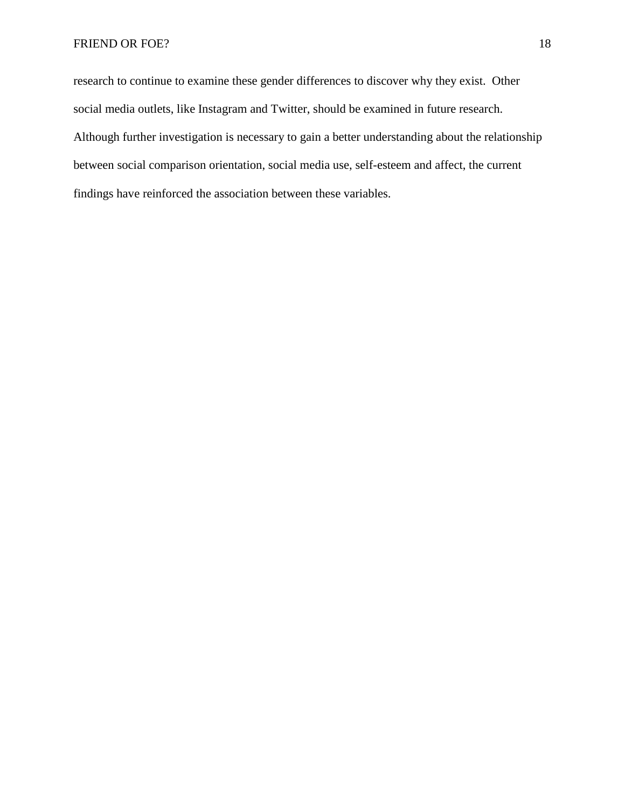research to continue to examine these gender differences to discover why they exist. Other social media outlets, like Instagram and Twitter, should be examined in future research. Although further investigation is necessary to gain a better understanding about the relationship between social comparison orientation, social media use, self-esteem and affect, the current findings have reinforced the association between these variables.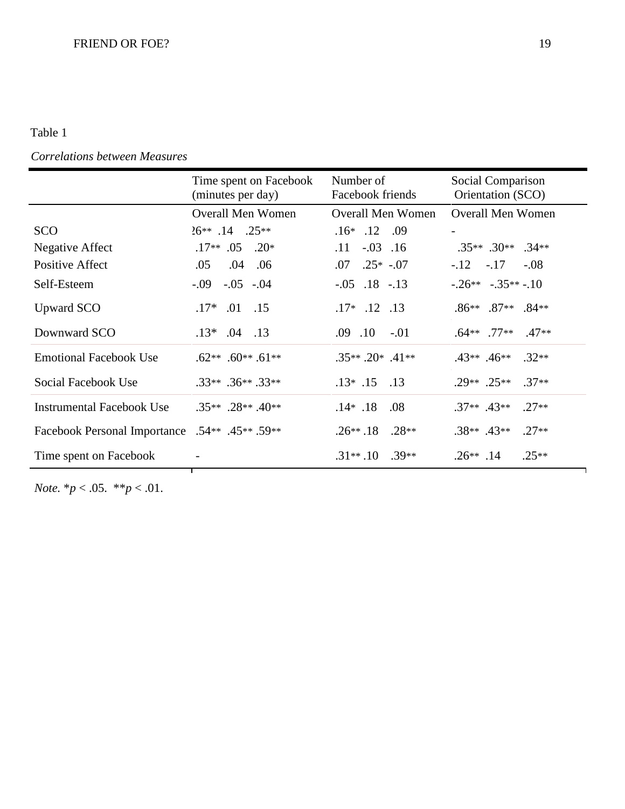## Table 1

## *Correlations between Measures*

|                                                | Time spent on Facebook<br>(minutes per day) | Number of<br>Facebook friends | Social Comparison<br>Orientation (SCO) |  |  |
|------------------------------------------------|---------------------------------------------|-------------------------------|----------------------------------------|--|--|
|                                                | <b>Overall Men Women</b>                    | <b>Overall Men Women</b>      | <b>Overall Men Women</b>               |  |  |
| <b>SCO</b>                                     | $26**$ .14 .25**                            | $.16*$ .12 .09                |                                        |  |  |
| Negative Affect                                | $.17**$ .05 .20*                            | $-.03$ .16<br>.11             | $.35**$ $.30**$ $.34**$                |  |  |
| Positive Affect                                | .04 .06<br>.05                              | $.07$ $.25*$ $-.07$           | $-.12-.17$<br>$-.08$                   |  |  |
| Self-Esteem                                    | $-.09$ $-.05$ $-.04$                        | $-.05$ $.18$ $-.13$           | $-.26**-.35**-.10$                     |  |  |
| <b>Upward SCO</b>                              | $.17*$<br>$.01$ .15                         | $.17*$ $.12$ $.13$            | $.86***$ .87** .84**                   |  |  |
| Downward SCO                                   | $.13*$ .04 .13                              | $.09$ $.10$ $-.01$            | $.64***$ .77**<br>$.47**$              |  |  |
| <b>Emotional Facebook Use</b>                  | $.62**$ .60** .61**                         | $.35**$ $.20*$ $.41**$        | $.43**$ $.46**$<br>$.32**$             |  |  |
| Social Facebook Use                            | $.33**$ .36** .33**                         | $.13*$ .15<br>.13             | $.29**$ .25**<br>$.37**$               |  |  |
| <b>Instrumental Facebook Use</b>               | $.35**$ $.28**$ $.40**$                     | $.14*$ .18<br>.08             | $.37**$ $.43**$<br>$.27**$             |  |  |
| Facebook Personal Importance .54** .45** .59** |                                             | $.28**$<br>$.26**.18$         | $.38**$ .43**<br>$.27**$               |  |  |
| Time spent on Facebook                         |                                             | $.31**.10$<br>$.39**$         | $.25**$<br>$.26**$ .14                 |  |  |
|                                                |                                             |                               |                                        |  |  |

*Note.* \**p* < .05. \*\**p* < .01.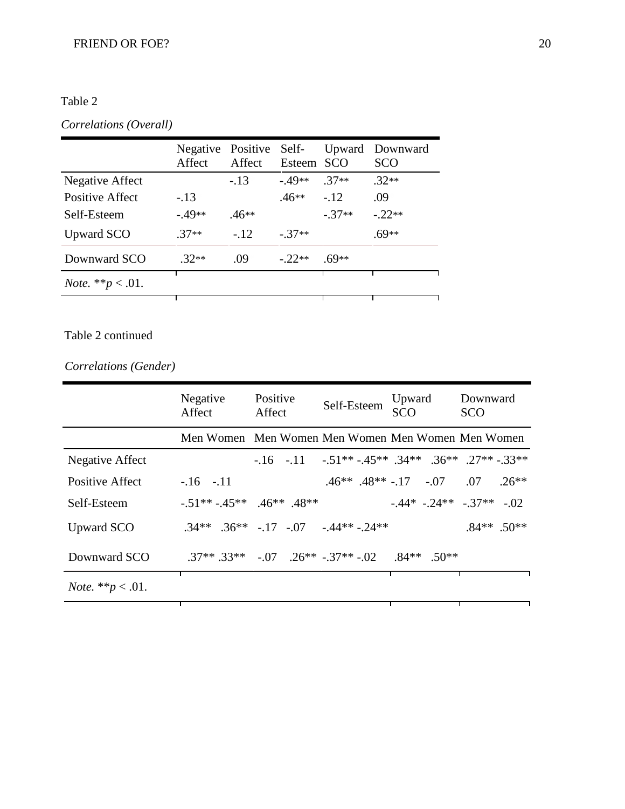## Table 2

## *Correlations (Overall)*

| Affect   | Affect  |          |                         | Upward Downward<br><b>SCO</b> |
|----------|---------|----------|-------------------------|-------------------------------|
|          | $-.13$  | $-49**$  | $.37**$                 | $.32**$                       |
| $-.13$   |         | 46**     |                         | .09                           |
| $-.49**$ | $.46**$ |          | $-37**$                 | $-.22**$                      |
| $.37**$  | $-.12$  | $-37**$  |                         | .69**                         |
| $.32**$  | .09     | $-.22**$ | $69**$                  |                               |
|          |         |          |                         |                               |
|          |         |          | Negative Positive Self- | Esteem SCO<br>$-12$           |

## Table 2 continued

*Correlations (Gender)*

|                             | Negative<br>Affect                                | Positive<br>Affect | Self-Esteem                                                    | Upward<br><b>SCO</b>      | Downward<br><b>SCO</b>                                   |  |
|-----------------------------|---------------------------------------------------|--------------------|----------------------------------------------------------------|---------------------------|----------------------------------------------------------|--|
|                             | Men Women Men Women Men Women Men Women Men Women |                    |                                                                |                           |                                                          |  |
| Negative Affect             |                                                   |                    |                                                                |                           | $-16$ $-11$ $-51**$ $-45**$ $34**$ $36**$ $27**$ $-33**$ |  |
| Positive Affect             | $-.16-.11$                                        |                    |                                                                |                           | $.46^{***}$ $.48^{**}$ $-.17$ $-.07$ $.07$ $.26^{**}$    |  |
| Self-Esteem                 | $-51** - 45**$ $46**$ $48**$                      |                    |                                                                | $-44* - 24** - 37** - 02$ |                                                          |  |
| Upward SCO                  | $.34***$ $.36***$ $-.17$ $-.07$ $-.44**$ $-.24**$ |                    |                                                                |                           | $.84***$ .50**                                           |  |
| Downward SCO                |                                                   |                    | $.37**$ $.33**$ $-.07$ $.26**$ $-.37**$ $-.02$ $.84**$ $.50**$ |                           |                                                          |  |
| <i>Note.</i> ** $p < .01$ . |                                                   |                    |                                                                |                           |                                                          |  |
|                             |                                                   |                    |                                                                |                           |                                                          |  |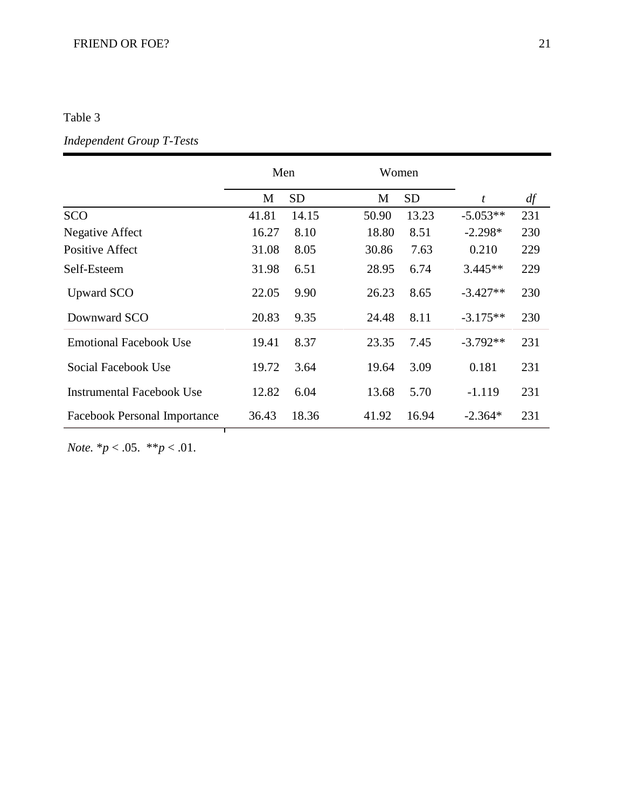## FRIEND OR FOE? 21

## Table 3

## *Independent Group T-Tests*

|                                  | Men   |           |       | Women     |                  |     |
|----------------------------------|-------|-----------|-------|-----------|------------------|-----|
|                                  | M     | <b>SD</b> | M     | <b>SD</b> | $\boldsymbol{t}$ | df  |
| <b>SCO</b>                       | 41.81 | 14.15     | 50.90 | 13.23     | $-5.053**$       | 231 |
| Negative Affect                  | 16.27 | 8.10      | 18.80 | 8.51      | $-2.298*$        | 230 |
| <b>Positive Affect</b>           | 31.08 | 8.05      | 30.86 | 7.63      | 0.210            | 229 |
| Self-Esteem                      | 31.98 | 6.51      | 28.95 | 6.74      | $3.445**$        | 229 |
| <b>Upward SCO</b>                | 22.05 | 9.90      | 26.23 | 8.65      | $-3.427**$       | 230 |
| Downward SCO                     | 20.83 | 9.35      | 24.48 | 8.11      | $-3.175**$       | 230 |
| <b>Emotional Facebook Use</b>    | 19.41 | 8.37      | 23.35 | 7.45      | $-3.792**$       | 231 |
| Social Facebook Use              | 19.72 | 3.64      | 19.64 | 3.09      | 0.181            | 231 |
| <b>Instrumental Facebook Use</b> | 12.82 | 6.04      | 13.68 | 5.70      | $-1.119$         | 231 |
| Facebook Personal Importance     | 36.43 | 18.36     | 41.92 | 16.94     | $-2.364*$        | 231 |

*Note.* \**p* < .05. \*\**p* < .01.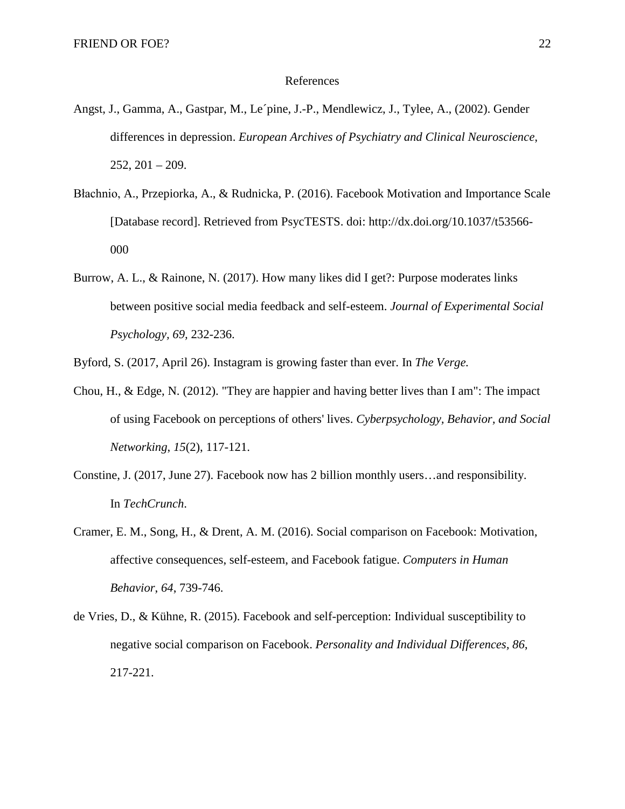#### References

- Angst, J., Gamma, A., Gastpar, M., Le´pine, J.-P., Mendlewicz, J., Tylee, A., (2002). Gender differences in depression. *European Archives of Psychiatry and Clinical Neuroscience*, 252, 201 – 209.
- Błachnio, A., Przepiorka, A., & Rudnicka, P. (2016). Facebook Motivation and Importance Scale [Database record]. Retrieved from PsycTESTS. doi: [http://dx.doi.org/10.1037/t](http://dx.doi.org/10.1037/)53566- 000
- Burrow, A. L., & Rainone, N. (2017). How many likes did I get?: Purpose moderates links between positive social media feedback and self-esteem. *Journal of Experimental Social Psychology, 69,* 232-236.

Byford, S. (2017, April 26). Instagram is growing faster than ever. In *The Verge.*

- Chou, H., & Edge, N. (2012). "They are happier and having better lives than I am": The impact of using Facebook on perceptions of others' lives. *Cyberpsychology, Behavior, and Social Networking*, *15*(2), 117-121.
- Constine, J. (2017, June 27). Facebook now has 2 billion monthly users…and responsibility. In *TechCrunch*.
- Cramer, E. M., Song, H., & Drent, A. M. (2016). Social comparison on Facebook: Motivation, affective consequences, self-esteem, and Facebook fatigue. *Computers in Human Behavior*, *64*, 739-746.
- de Vries, D., & Kühne, R. (2015). Facebook and self-perception: Individual susceptibility to negative social comparison on Facebook. *Personality and Individual Differences, 86*, 217-221.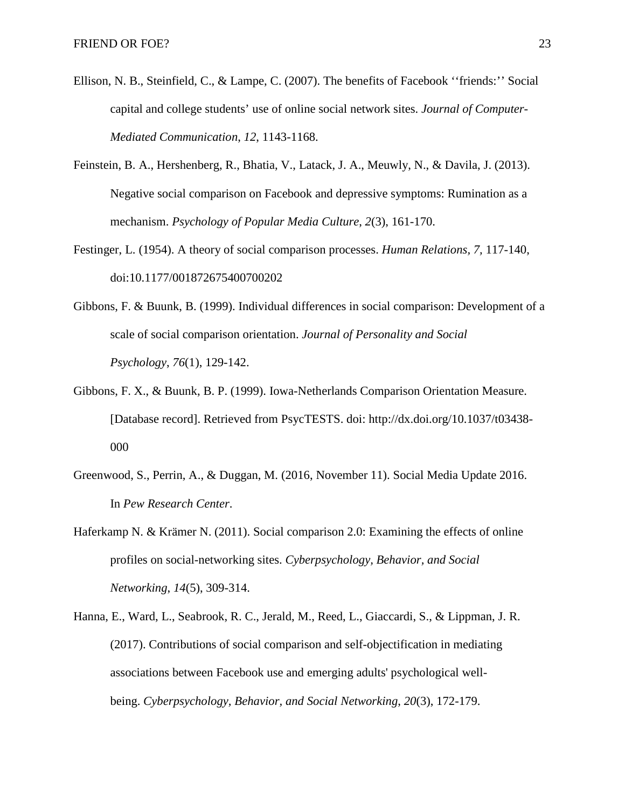- Ellison, N. B., Steinfield, C., & Lampe, C. (2007). The benefits of Facebook ''friends:'' Social capital and college students' use of online social network sites. *Journal of Computer-Mediated Communication*, *12*, 1143-1168.
- Feinstein, B. A., Hershenberg, R., Bhatia, V., Latack, J. A., Meuwly, N., & Davila, J. (2013). Negative social comparison on Facebook and depressive symptoms: Rumination as a mechanism. *Psychology of Popular Media Culture*, *2*(3), 161-170.
- Festinger, L. (1954). A theory of social comparison processes. *Human Relations, 7,* 117-140, doi:10.1177/001872675400700202
- Gibbons, F. & Buunk, B. (1999). Individual differences in social comparison: Development of a scale of social comparison orientation. *Journal of Personality and Social Psychology*, *76*(1), 129-142.
- Gibbons, F. X., & Buunk, B. P. (1999). Iowa-Netherlands Comparison Orientation Measure. [Database record]. Retrieved from PsycTESTS. doi: [http://dx.doi.org/10.1037/t](http://dx.doi.org/10.1037/)03438- 000
- Greenwood, S., Perrin, A., & Duggan, M. (2016, November 11). Social Media Update 2016. In *Pew Research Center*.
- Haferkamp N. & Krämer N. (2011). Social comparison 2.0: Examining the effects of online profiles on social-networking sites. *Cyberpsychology, Behavior, and Social Networking*, *14*(5), 309-314.
- Hanna, E., Ward, L., Seabrook, R. C., Jerald, M., Reed, L., Giaccardi, S., & Lippman, J. R. (2017). Contributions of social comparison and self-objectification in mediating associations between Facebook use and emerging adults' psychological wellbeing. *Cyberpsychology, Behavior, and Social Networking*, *20*(3), 172-179.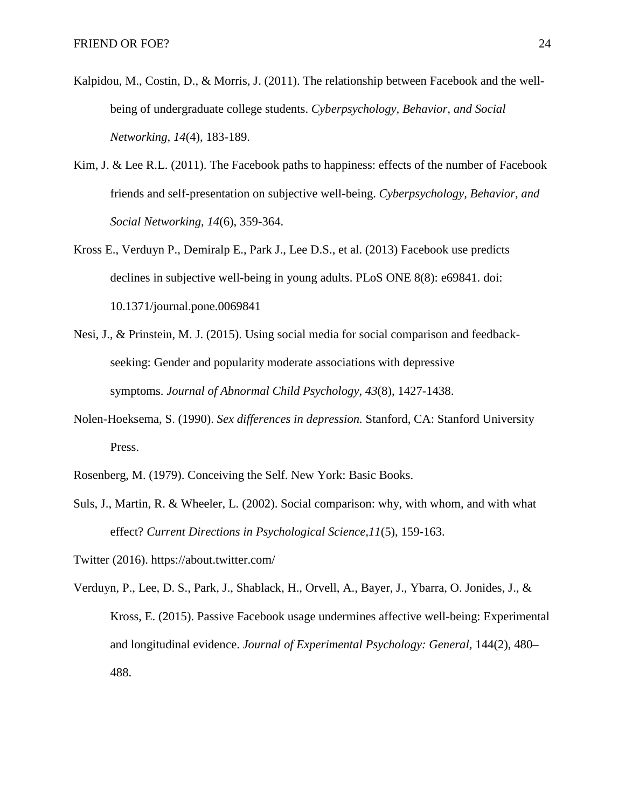- Kalpidou, M., Costin, D., & Morris, J. (2011). The relationship between Facebook and the wellbeing of undergraduate college students. *Cyberpsychology, Behavior, and Social Networking*, *14*(4), 183-189.
- Kim, J. & Lee R.L. (2011). The Facebook paths to happiness: effects of the number of Facebook friends and self-presentation on subjective well-being. *Cyberpsychology, Behavior, and Social Networking, 14*(6), 359-364.
- Kross E., Verduyn P., Demiralp E., Park J., Lee D.S., et al. (2013) Facebook use predicts declines in subjective well-being in young adults. PLoS ONE 8(8): e69841. doi: 10.1371/journal.pone.0069841
- Nesi, J., & Prinstein, M. J. (2015). Using social media for social comparison and feedbackseeking: Gender and popularity moderate associations with depressive symptoms. *Journal of Abnormal Child Psychology*, *43*(8), 1427-1438.
- Nolen-Hoeksema, S. (1990). *Sex differences in depression.* Stanford, CA: Stanford University Press.
- Rosenberg, M. (1979). Conceiving the Self. New York: Basic Books.
- Suls, J., Martin, R. & Wheeler, L. (2002). Social comparison: why, with whom, and with what effect? *Current Directions in Psychological Science,11*(5), 159-163.
- Twitter (2016). https://about.twitter.com/
- Verduyn, P., Lee, D. S., Park, J., Shablack, H., Orvell, A., Bayer, J., Ybarra, O. Jonides, J., & Kross, E. (2015). Passive Facebook usage undermines affective well-being: Experimental and longitudinal evidence. *Journal of Experimental Psychology: General,* 144(2), 480– 488.